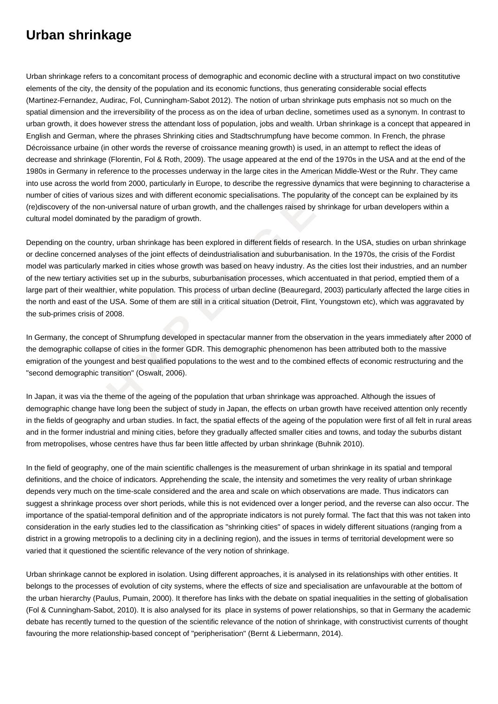## **Urban shrinkage**

Urban shrinkage refers to a concomitant process of demographic and economic decline with a structural impact on two constitutive elements of the city, the density of the population and its economic functions, thus generating considerable social effects (Martinez-Fernandez, Audirac, Fol, Cunningham-Sabot 2012). The notion of urban shrinkage puts emphasis not so much on the spatial dimension and the irreversibility of the process as on the idea of urban decline, sometimes used as a synonym. In contrast to urban growth, it does however stress the attendant loss of population, jobs and wealth. Urban shrinkage is a concept that appeared in English and German, where the phrases Shrinking cities and Stadtschrumpfung have become common. In French, the phrase Décroissance urbaine (in other words the reverse of croissance meaning growth) is used, in an attempt to reflect the ideas of decrease and shrinkage (Florentin, Fol & Roth, 2009). The usage appeared at the end of the 1970s in the USA and at the end of the 1980s in Germany in reference to the processes underway in the large cites in the American Middle-West or the Ruhr. They came into use across the world from 2000, particularly in Europe, to describe the regressive dynamics that were beginning to characterise a number of cities of various sizes and with different economic specialisations. The popularity of the concept can be explained by its (re)discovery of the non-universal nature of urban growth, and the challenges raised by shrinkage for urban developers within a cultural model dominated by the paradigm of growth.

is in reference to the processes underway in the large cites in the American Middle-<br>
The world from 2000, particularly in Europe, to describe the regressive dynamics that<br>
of various sizes and with different economic spec Depending on the country, urban shrinkage has been explored in different fields of research. In the USA, studies on urban shrinkage or decline concerned analyses of the joint effects of deindustrialisation and suburbanisation. In the 1970s, the crisis of the Fordist model was particularly marked in cities whose growth was based on heavy industry. As the cities lost their industries, and an number of the new tertiary activities set up in the suburbs, suburbanisation processes, which accentuated in that period, emptied them of a large part of their wealthier, white population. This process of urban decline (Beauregard, 2003) particularly affected the large cities in the north and east of the USA. Some of them are still in a critical situation (Detroit, Flint, Youngstown etc), which was aggravated by the sub-primes crisis of 2008.

In Germany, the concept of Shrumpfung developed in spectacular manner from the observation in the years immediately after 2000 of the demographic collapse of cities in the former GDR. This demographic phenomenon has been attributed both to the massive emigration of the youngest and best qualified populations to the west and to the combined effects of economic restructuring and the "second demographic transition" (Oswalt, 2006).

In Japan, it was via the theme of the ageing of the population that urban shrinkage was approached. Although the issues of demographic change have long been the subject of study in Japan, the effects on urban growth have received attention only recently in the fields of geography and urban studies. In fact, the spatial effects of the ageing of the population were first of all felt in rural areas and in the former industrial and mining cities, before they gradually affected smaller cities and towns, and today the suburbs distant from metropolises, whose centres have thus far been little affected by urban shrinkage (Buhnik 2010).

In the field of geography, one of the main scientific challenges is the measurement of urban shrinkage in its spatial and temporal definitions, and the choice of indicators. Apprehending the scale, the intensity and sometimes the very reality of urban shrinkage depends very much on the time-scale considered and the area and scale on which observations are made. Thus indicators can suggest a shrinkage process over short periods, while this is not evidenced over a longer period, and the reverse can also occur. The importance of the spatial-temporal definition and of the appropriate indicators is not purely formal. The fact that this was not taken into consideration in the early studies led to the classification as "shrinking cities" of spaces in widely different situations (ranging from a district in a growing metropolis to a declining city in a declining region), and the issues in terms of territorial development were so varied that it questioned the scientific relevance of the very notion of shrinkage.

Urban shrinkage cannot be explored in isolation. Using different approaches, it is analysed in its relationships with other entities. It belongs to the processes of evolution of city systems, where the effects of size and specialisation are unfavourable at the bottom of the urban hierarchy (Paulus, Pumain, 2000). It therefore has links with the debate on spatial inequalities in the setting of globalisation (Fol & Cunningham-Sabot, 2010). It is also analysed for its place in systems of power relationships, so that in Germany the academic debate has recently turned to the question of the scientific relevance of the notion of shrinkage, with constructivist currents of thought favouring the more relationship-based concept of "peripherisation" (Bernt & Liebermann, 2014).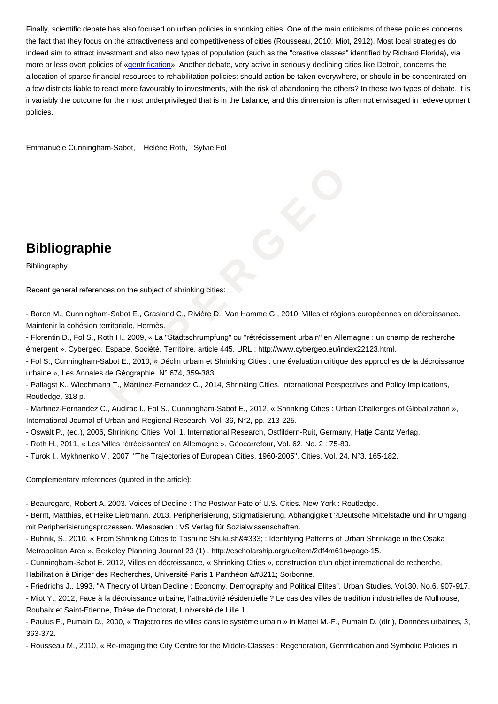the fact that they focus on the attractiveness and competitiveness of cities (Rousseau, 2010; Miot, 2912). Most local strategies do indeed aim to attract investment and also new types of population (such as the "creative classes" identified by Richard Florida), via more or less overt policies of «gentrification». Another debate, very active in seriously declining cities like Detroit, concerns the allocation of sparse financial resources to rehabilitation policies: should action be taken everywhere, or should in be concentrated on a few districts liable to react more favourably to investments, with the risk of abandoning the others? In these two types of debate, it is invariably the outcome for the [most underpr](https://wiki.parisgeo.cnrs.fr/?p=497)ivileged that is in the balance, and this dimension is often not envisaged in redevelopment policies.

Emmanuèle Cunningham-Sabot, Hélène Roth, Sylvie Fol

## **Bibliographie**

Bibliography

Recent general references on the subject of shrinking cities:

- Baron M., Cunningham-Sabot E., Grasland C., Rivière D., Van Hamme G., 2010, Villes et régions européennes en décroissance. Maintenir la cohésion territoriale, Hermès.

**phie**<br> **phie**<br> **Example 10**<br> **Example 10**<br> **Example 10**<br> **Example 10**<br> **Example 10**<br> **Example 10**<br> **Example 10**<br> **Example 10**<br> **Example 10**<br> **Example 10**<br> **Example 10**<br> **Example 10**<br> **Example 10**<br> **Example 10**<br> **Example 1** - Florentin D., Fol S., Roth H., 2009, « La "Stadtschrumpfung" ou "rétrécissement urbain" en Allemagne : un champ de recherche émergent », Cybergeo, Espace, Société, Territoire, article 445, URL : http://www.cybergeo.eu/index22123.html.

- Fol S., Cunningham-Sabot E., 2010, « Déclin urbain et Shrinking Cities : une évaluation critique des approches de la décroissance urbaine », Les Annales de Géographie, N° 674, 359-383.

- Pallagst K., Wiechmann T., Martinez-Fernandez C., 2014, Shrinking Cities. International Perspectives and Policy Implications, Routledge, 318 p.

- Martinez-Fernandez C., Audirac I., Fol S., Cunningham-Sabot E., 2012, « Shrinking Cities : Urban Challenges of Globalization », International Journal of Urban and Regional Research, Vol. 36, N°2, pp. 213-225.

- Oswalt P., (ed.), 2006, Shrinking Cities, Vol. 1. International Research, Ostfildern-Ruit, Germany, Hatje Cantz Verlag.

- Roth H., 2011, « Les 'villes rétrécissantes' en Allemagne », Géocarrefour, Vol. 62, No. 2 : 75-80.

- Turok I., Mykhnenko V., 2007, "The Trajectories of European Cities, 1960-2005", Cities, Vol. 24, N°3, 165-182.

Complementary references (quoted in the article):

- Beauregard, Robert A. 2003. Voices of Decline : The Postwar Fate of U.S. Cities. New York : Routledge.

- Bernt, Matthias, et Heike Liebmann. 2013. Peripherisierung, Stigmatisierung, Abhängigkeit ?Deutsche Mittelstädte und ihr Umgang mit Peripherisierungsprozessen. Wiesbaden : VS Verlag für Sozialwissenschaften.

- Buhnik, S.. 2010. « From Shrinking Cities to Toshi no Shukushō : Identifying Patterns of Urban Shrinkage in the Osaka Metropolitan Area ». Berkeley Planning Journal 23 (1) . http://escholarship.org/uc/item/2df4m61b#page-15.

- Cunningham-Sabot E. 2012, Villes en décroissance, « Shrinking Cities », construction d'un objet international de recherche, Habilitation à Diriger des Recherches, Université Paris 1 Panthéon – Sorbonne.

- Friedrichs J., 1993, "A Theory of Urban Decline : Economy, Demography and Political Elites", Urban Studies, Vol.30, No.6, 907-917.

- Miot Y., 2012, Face à la décroissance urbaine, l'attractivité résidentielle ? Le cas des villes de tradition industrielles de Mulhouse, Roubaix et Saint-Etienne, Thèse de Doctorat, Université de Lille 1.

- Paulus F., Pumain D., 2000, « Trajectoires de villes dans le système urbain » in Mattei M.-F., Pumain D. (dir.), Données urbaines, 3, 363-372.

- Rousseau M., 2010, « Re-imaging the City Centre for the Middle-Classes : Regeneration, Gentrification and Symbolic Policies in